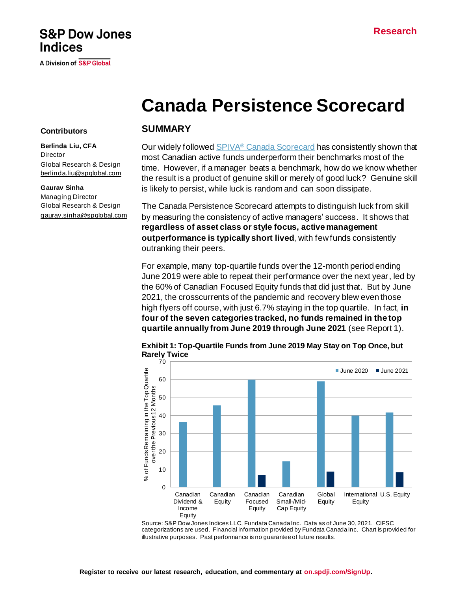# **S&P Dow Jones Indices**

A Division of S&P Global

# **Canada Persistence Scorecard**

#### **Contributors**

**Berlinda Liu, CFA Director** Global Research & Design [berlinda.liu@spglobal.com](mailto:berlinda.liu@spglobal.com)

#### **Gaurav Sinha**

Managing Director Global Research & Design [gaurav.sinha@spglobal.com](mailto:gaurav.sinha@spglobal.com)

#### **SUMMARY**

Our widely followed SPIVA<sup>®</sup> [Canada Scorecard](https://www.spglobal.com/spdji/en/spiva/article/spiva-canada/?utm_source=pdf_spiva) has consistently shown that most Canadian active funds underperform their benchmarks most of the time. However, if a manager beats a benchmark, how do we know whether the result is a product of genuine skill or merely of good luck? Genuine skill is likely to persist, while luck is random and can soon dissipate.

The Canada Persistence Scorecard attempts to distinguish luck from skill by measuring the consistency of active managers' success. It shows that **regardless of asset class or style focus, active management outperformance is typically short lived**, with few funds consistently outranking their peers.

For example, many top-quartile funds over the 12-month period ending June 2019 were able to repeat their performance over the next year, led by the 60% of Canadian Focused Equity funds that did just that. But by June 2021, the crosscurrents of the pandemic and recovery blew even those high flyers off course, with just 6.7% staying in the top quartile. In fact, **in four of the seven categories tracked, no funds remained in the top quartile annually from June 2019 through June 2021** (see Report 1).



**Exhibit 1: Top-Quartile Funds from June 2019 May Stay on Top Once, but Rarely Twice**

Source: S&P Dow Jones Indices LLC, Fundata Canada Inc. Data as of June 30, 2021. CIFSC categorizations are used. Financial information provided by Fundata Canada Inc. Chart is provided for illustrative purposes. Past performance is no guarantee of future results.

**Equity**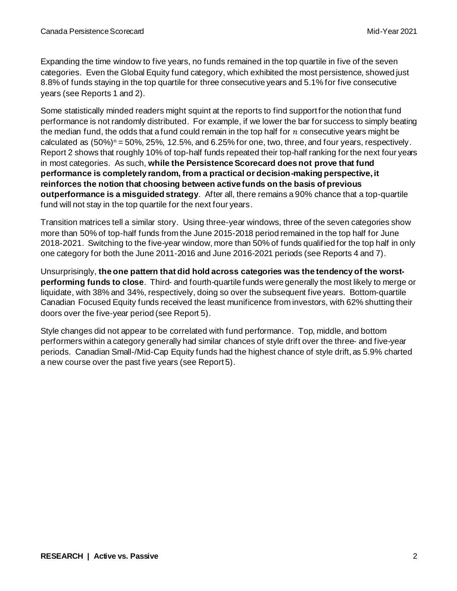Expanding the time window to five years, no funds remained in the top quartile in five of the seven categories. Even the Global Equity fund category, which exhibited the most persistence, showed just 8.8% of funds staying in the top quartile for three consecutive years and 5.1% for five consecutive years (see Reports 1 and 2).

Some statistically minded readers might squint at the reports to find support for the notion that fund performance is not randomly distributed. For example, if we lower the bar for success to simply beating the median fund, the odds that a fund could remain in the top half for  $n$  consecutive years might be calculated as  $(50\%)$ <sup>n</sup> = 50%, 25%, 12.5%, and 6.25% for one, two, three, and four years, respectively. Report 2 shows that roughly 10% of top-half funds repeated their top-half ranking for the next four years in most categories. As such, **while the Persistence Scorecard does not prove that fund performance is completely random, from a practical or decision-making perspective, it reinforces the notion that choosing between active funds on the basis of previous outperformance is a misguided strategy**. After all, there remains a 90% chance that a top-quartile fund will not stay in the top quartile for the next four years.

Transition matrices tell a similar story. Using three-year windows, three of the seven categories show more than 50% of top-half funds from the June 2015-2018 period remained in the top half for June 2018-2021. Switching to the five-year window, more than 50% of funds qualified for the top half in only one category for both the June 2011-2016 and June 2016-2021 periods (see Reports 4 and 7).

Unsurprisingly, **the one pattern that did hold across categories was the tendency of the worstperforming funds to close**. Third- and fourth-quartile funds were generally the most likely to merge or liquidate, with 38% and 34%, respectively, doing so over the subsequent five years. Bottom-quartile Canadian Focused Equity funds received the least munificence from investors, with 62% shutting their doors over the five-year period (see Report 5).

Style changes did not appear to be correlated with fund performance. Top, middle, and bottom performers within a category generally had similar chances of style drift over the three- and five-year periods. Canadian Small-/Mid-Cap Equity funds had the highest chance of style drift, as 5.9% charted a new course over the past five years (see Report 5).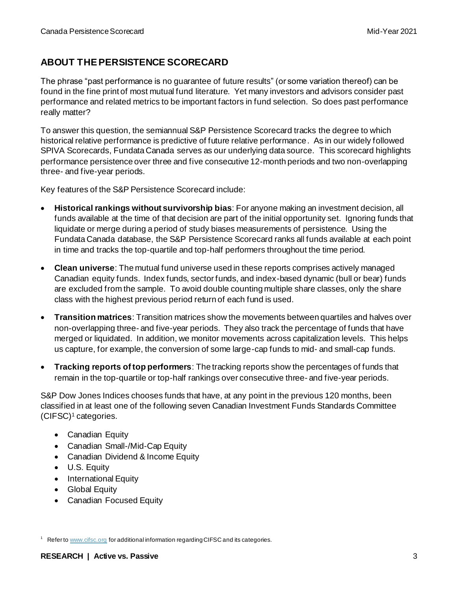## **ABOUT THE PERSISTENCE SCORECARD**

The phrase "past performance is no guarantee of future results" (or some variation thereof) can be found in the fine print of most mutual fund literature. Yet many investors and advisors consider past performance and related metrics to be important factors in fund selection. So does past performance really matter?

To answer this question, the semiannual S&P Persistence Scorecard tracks the degree to which historical relative performance is predictive of future relative performance. As in our widely followed SPIVA Scorecards, Fundata Canada serves as our underlying data source. This scorecard highlights performance persistence over three and five consecutive 12-month periods and two non-overlapping three- and five-year periods.

Key features of the S&P Persistence Scorecard include:

- **Historical rankings without survivorship bias**: For anyone making an investment decision, all funds available at the time of that decision are part of the initial opportunity set. Ignoring funds that liquidate or merge during a period of study biases measurements of persistence. Using the Fundata Canada database, the S&P Persistence Scorecard ranks all funds available at each point in time and tracks the top-quartile and top-half performers throughout the time period.
- **Clean universe**: The mutual fund universe used in these reports comprises actively managed Canadian equity funds. Index funds, sector funds, and index-based dynamic (bull or bear) funds are excluded from the sample. To avoid double counting multiple share classes, only the share class with the highest previous period return of each fund is used.
- **Transition matrices**: Transition matrices show the movements between quartiles and halves over non-overlapping three- and five-year periods. They also track the percentage of funds that have merged or liquidated. In addition, we monitor movements across capitalization levels. This helps us capture, for example, the conversion of some large-cap funds to mid- and small-cap funds.
- **Tracking reports of top performers**: The tracking reports show the percentages of funds that remain in the top-quartile or top-half rankings over consecutive three- and five-year periods.

S&P Dow Jones Indices chooses funds that have, at any point in the previous 120 months, been classified in at least one of the following seven Canadian Investment Funds Standards Committee (CIFSC)<sup>1</sup> categories.

- Canadian Equity
- Canadian Small-/Mid-Cap Equity
- Canadian Dividend & Income Equity
- U.S. Equity
- International Equity
- Global Equity
- Canadian Focused Equity

 $1$  Refer t[o www.cifsc.org](http://www.cifsc.org/) for additional information regarding CIFSC and its categories.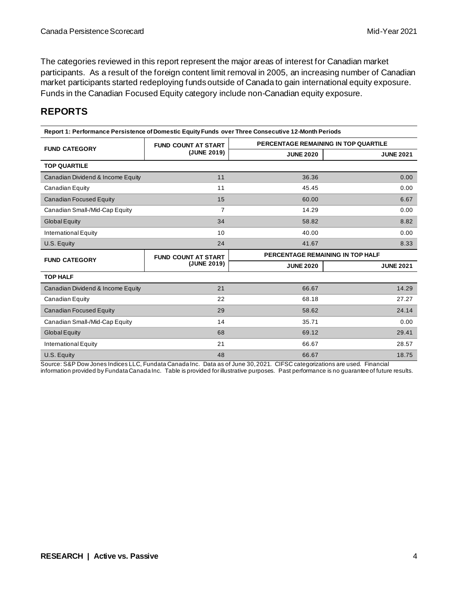The categories reviewed in this report represent the major areas of interest for Canadian market participants. As a result of the foreign content limit removal in 2005, an increasing number of Canadian market participants started redeploying funds outside of Canada to gain international equity exposure. Funds in the Canadian Focused Equity category include non-Canadian equity exposure.

### **REPORTS**

| Report 1: Performance Persistence of Domestic Equity Funds over Three Consecutive 12-Month Periods |                            |                                      |                  |  |  |  |  |
|----------------------------------------------------------------------------------------------------|----------------------------|--------------------------------------|------------------|--|--|--|--|
| <b>FUND CATEGORY</b>                                                                               | <b>FUND COUNT AT START</b> | PERCENTAGE REMAINING IN TOP QUARTILE |                  |  |  |  |  |
|                                                                                                    | (JUNE 2019)                | <b>JUNE 2020</b>                     | <b>JUNE 2021</b> |  |  |  |  |
| <b>TOP QUARTILE</b>                                                                                |                            |                                      |                  |  |  |  |  |
| Canadian Dividend & Income Equity                                                                  | 11                         | 36.36                                | 0.00             |  |  |  |  |
| Canadian Equity                                                                                    | 11                         | 45.45                                | 0.00             |  |  |  |  |
| <b>Canadian Focused Equity</b>                                                                     | 15                         | 60.00                                | 6.67             |  |  |  |  |
| Canadian Small-/Mid-Cap Equity                                                                     | 7                          | 14.29                                | 0.00             |  |  |  |  |
| <b>Global Equity</b>                                                                               | 34                         | 58.82                                | 8.82             |  |  |  |  |
| International Equity                                                                               | 10                         | 40.00                                | 0.00             |  |  |  |  |
| U.S. Equity                                                                                        | 24                         | 41.67                                | 8.33             |  |  |  |  |
| <b>FUND CATEGORY</b>                                                                               | <b>FUND COUNT AT START</b> | PERCENTAGE REMAINING IN TOP HALF     |                  |  |  |  |  |
|                                                                                                    | (JUNE 2019)                | <b>JUNE 2020</b>                     | <b>JUNE 2021</b> |  |  |  |  |
| <b>TOP HALF</b>                                                                                    |                            |                                      |                  |  |  |  |  |
| Canadian Dividend & Income Equity                                                                  | 21                         | 66.67                                | 14.29            |  |  |  |  |
| Canadian Equity                                                                                    | 22                         | 68.18                                | 27.27            |  |  |  |  |
| <b>Canadian Focused Equity</b>                                                                     | 29                         | 58.62                                | 24.14            |  |  |  |  |
| Canadian Small-/Mid-Cap Equity                                                                     | 14                         | 35.71                                | 0.00             |  |  |  |  |
| Global Equity                                                                                      | 68                         | 69.12                                | 29.41            |  |  |  |  |
|                                                                                                    |                            |                                      |                  |  |  |  |  |
| <b>International Equity</b>                                                                        | 21                         | 66.67                                | 28.57            |  |  |  |  |

Source: S&P Dow Jones Indices LLC, Fundata Canada Inc. Data as of June 30, 2021. CIFSC categorizations are used. Financial

information provided by Fundata Canada Inc. Table is provided for illustrative purposes. Past performance is no guarantee of future results.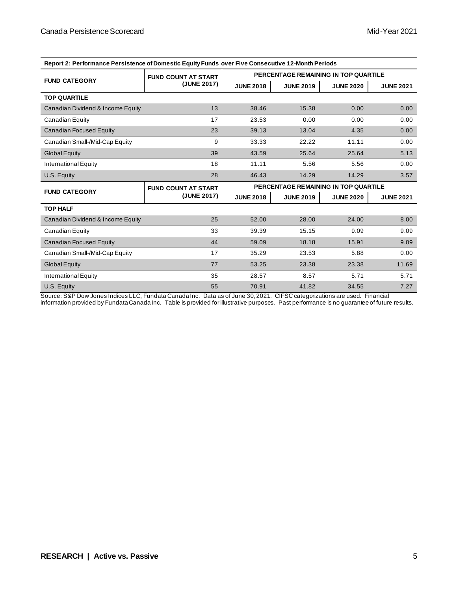| Report 2. Ferrormance Fersistence of Domestic Equity Funds Over Five Consecutive T2-Month Ferrods |                            |                                      |                  |                                      |                  |  |  |  |
|---------------------------------------------------------------------------------------------------|----------------------------|--------------------------------------|------------------|--------------------------------------|------------------|--|--|--|
| <b>FUND CATEGORY</b>                                                                              | <b>FUND COUNT AT START</b> | PERCENTAGE REMAINING IN TOP QUARTILE |                  |                                      |                  |  |  |  |
|                                                                                                   | (JUNE 2017)                | <b>JUNE 2018</b>                     | <b>JUNE 2019</b> | <b>JUNE 2020</b>                     | <b>JUNE 2021</b> |  |  |  |
| <b>TOP QUARTILE</b>                                                                               |                            |                                      |                  |                                      |                  |  |  |  |
| Canadian Dividend & Income Equity                                                                 | 13                         | 38.46                                | 15.38            | 0.00                                 | 0.00             |  |  |  |
| Canadian Equity                                                                                   | 17                         | 23.53                                | 0.00             | 0.00                                 | 0.00             |  |  |  |
| Canadian Focused Equity                                                                           | 23                         | 39.13                                | 13.04            | 4.35                                 | 0.00             |  |  |  |
| Canadian Small-/Mid-Cap Equity                                                                    | 9                          | 33.33                                | 22.22            | 11.11                                | 0.00             |  |  |  |
| <b>Global Equity</b>                                                                              | 39                         | 43.59                                | 25.64            | 25.64                                | 5.13             |  |  |  |
| International Equity                                                                              | 18                         | 11.11                                | 5.56             | 5.56                                 | 0.00             |  |  |  |
| U.S. Equity                                                                                       | 28                         | 46.43                                | 14.29            | 14.29                                | 3.57             |  |  |  |
|                                                                                                   |                            |                                      |                  |                                      |                  |  |  |  |
|                                                                                                   | <b>FUND COUNT AT START</b> |                                      |                  | PERCENTAGE REMAINING IN TOP QUARTILE |                  |  |  |  |
| <b>FUND CATEGORY</b>                                                                              | (JUNE 2017)                | <b>JUNE 2018</b>                     | <b>JUNE 2019</b> | <b>JUNE 2020</b>                     | <b>JUNE 2021</b> |  |  |  |
| <b>TOP HALF</b>                                                                                   |                            |                                      |                  |                                      |                  |  |  |  |
| Canadian Dividend & Income Equity                                                                 | 25                         | 52.00                                | 28.00            | 24.00                                | 8.00             |  |  |  |
| Canadian Equity                                                                                   | 33                         | 39.39                                | 15.15            | 9.09                                 | 9.09             |  |  |  |
| Canadian Focused Equity                                                                           | 44                         | 59.09                                | 18.18            | 15.91                                | 9.09             |  |  |  |
| Canadian Small-/Mid-Cap Equity                                                                    | 17                         | 35.29                                | 23.53            | 5.88                                 | 0.00             |  |  |  |
| <b>Global Equity</b>                                                                              | 77                         | 53.25                                | 23.38            | 23.38                                | 11.69            |  |  |  |
| International Equity                                                                              | 35                         | 28.57                                | 8.57             | 5.71                                 | 5.71             |  |  |  |

**Report 2: Performance Persistence of Domestic Equity Funds over Five Consecutive 12-Month Periods**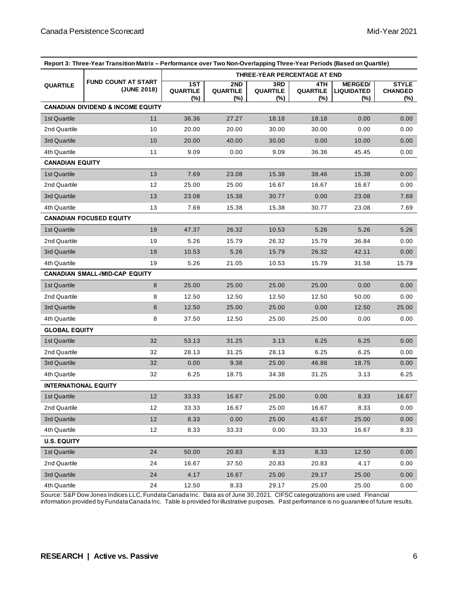| Report 3: Three-Year Transition Matrix - Performance over Two Non-Overlapping Three-Year Periods (Based on Quartile) |                                              |                              |                               |                               |                               |                                            |                                       |
|----------------------------------------------------------------------------------------------------------------------|----------------------------------------------|------------------------------|-------------------------------|-------------------------------|-------------------------------|--------------------------------------------|---------------------------------------|
|                                                                                                                      |                                              | THREE-YEAR PERCENTAGE AT END |                               |                               |                               |                                            |                                       |
| FUND COUNT AT START<br><b>QUARTILE</b><br>(JUNE 2018)                                                                |                                              | 1ST<br>QUARTILE<br>(%)       | 2ND<br><b>QUARTILE</b><br>(%) | 3RD<br><b>QUARTILE</b><br>(%) | 4TH<br><b>QUARTILE</b><br>(%) | <b>MERGED/</b><br><b>LIQUIDATED</b><br>(%) | <b>STYLE</b><br><b>CHANGED</b><br>(%) |
|                                                                                                                      | <b>CANADIAN DIVIDEND &amp; INCOME EQUITY</b> |                              |                               |                               |                               |                                            |                                       |
| 1st Quartile                                                                                                         | 11                                           | 36.36                        | 27.27                         | 18.18                         | 18.18                         | 0.00                                       | 0.00 <sub>1</sub>                     |
| 2nd Quartile                                                                                                         | 10                                           | 20.00                        | 20.00                         | 30.00                         | 30.00                         | 0.00                                       | 0.00                                  |
| 3rd Quartile                                                                                                         | 10                                           | 20.00                        | 40.00                         | 30.00                         | 0.00                          | 10.00                                      | 0.00                                  |
| 4th Quartile                                                                                                         | 11                                           | 9.09                         | 0.00                          | 9.09                          | 36.36                         | 45.45                                      | 0.00                                  |
| <b>CANADIAN EQUITY</b>                                                                                               |                                              |                              |                               |                               |                               |                                            |                                       |
| 1st Quartile                                                                                                         | 13                                           | 7.69                         | 23.08                         | 15.38                         | 38.46                         | 15.38                                      | 0.00 <sub>1</sub>                     |
| 2nd Quartile                                                                                                         | 12                                           | 25.00                        | 25.00                         | 16.67                         | 16.67                         | 16.67                                      | 0.00                                  |
| 3rd Quartile                                                                                                         | 13                                           | 23.08                        | 15.38                         | 30.77                         | 0.00                          | 23.08                                      | 7.69                                  |
| 4th Quartile                                                                                                         | 13                                           | 7.69                         | 15.38                         | 15.38                         | 30.77                         | 23.08                                      | 7.69                                  |
|                                                                                                                      | <b>CANADIAN FOCUSED EQUITY</b>               |                              |                               |                               |                               |                                            |                                       |
| 1st Quartile                                                                                                         | 19                                           | 47.37                        | 26.32                         | 10.53                         | 5.26                          | 5.26                                       | 5.26                                  |
| 2nd Quartile                                                                                                         | 19                                           | 5.26                         | 15.79                         | 26.32                         | 15.79                         | 36.84                                      | 0.00                                  |
| 3rd Quartile                                                                                                         | 19                                           | 10.53                        | 5.26                          | 15.79                         | 26.32                         | 42.11                                      | 0.00                                  |
| 4th Quartile                                                                                                         | 19                                           | 5.26                         | 21.05                         | 10.53                         | 15.79                         | 31.58                                      | 15.79                                 |
|                                                                                                                      | <b>CANADIAN SMALL-/MID-CAP EQUITY</b>        |                              |                               |                               |                               |                                            |                                       |
| 1st Quartile                                                                                                         | 8                                            | 25.00                        | 25.00                         | 25.00                         | 25.00                         | 0.00                                       | 0.00                                  |
| 2nd Quartile                                                                                                         | 8                                            | 12.50                        | 12.50                         | 12.50                         | 12.50                         | 50.00                                      | 0.00                                  |
| 3rd Quartile                                                                                                         | 8                                            | 12.50                        | 25.00                         | 25.00                         | 0.00                          | 12.50                                      | 25.00                                 |
| 4th Quartile                                                                                                         | 8                                            | 37.50                        | 12.50                         | 25.00                         | 25.00                         | 0.00                                       | 0.00                                  |
| <b>GLOBAL EQUITY</b>                                                                                                 |                                              |                              |                               |                               |                               |                                            |                                       |
| 1st Quartile                                                                                                         | 32                                           | 53.13                        | 31.25                         | 3.13                          | 6.25                          | 6.25                                       | 0.00                                  |
| 2nd Quartile                                                                                                         | 32                                           | 28.13                        | 31.25                         | 28.13                         | 6.25                          | 6.25                                       | 0.00                                  |
| 3rd Quartile                                                                                                         | 32                                           | 0.00                         | 9.38                          | 25.00                         | 46.88                         | 18.75                                      | 0.00                                  |
| 4th Quartile                                                                                                         | 32                                           | 6.25                         | 18.75                         | 34.38                         | 31.25                         | 3.13                                       | 6.25                                  |
| <b>INTERNATIONAL EQUITY</b>                                                                                          |                                              |                              |                               |                               |                               |                                            |                                       |
| 1st Quartile                                                                                                         | 12                                           | 33.33                        | 16.67                         | 25.00                         | 0.00                          | 8.33                                       | 16.67                                 |
| 2nd Quartile                                                                                                         | 12                                           | 33.33                        | 16.67                         | 25.00                         | 16.67                         | 8.33                                       | 0.00                                  |
| 3rd Quartile                                                                                                         | 12                                           | 8.33                         | 0.00                          | 25.00                         | 41.67                         | 25.00                                      | 0.00                                  |
| 4th Quartile                                                                                                         | 12                                           | 8.33                         | 33.33                         | 0.00                          | 33.33                         | 16.67                                      | 8.33                                  |
| <b>U.S. EQUITY</b>                                                                                                   |                                              |                              |                               |                               |                               |                                            |                                       |
| 1st Quartile                                                                                                         | 24                                           | 50.00                        | 20.83                         | 8.33                          | 8.33                          | 12.50                                      | 0.00                                  |
| 2nd Quartile                                                                                                         | 24                                           | 16.67                        | 37.50                         | 20.83                         | 20.83                         | 4.17                                       | 0.00                                  |
| 3rd Quartile                                                                                                         | 24                                           | 4.17                         | 16.67                         | 25.00                         | 29.17                         | 25.00                                      | 0.00                                  |
| 4th Quartile                                                                                                         | 24                                           | 12.50                        | 8.33                          | 29.17                         | 25.00                         | 25.00                                      | 0.00                                  |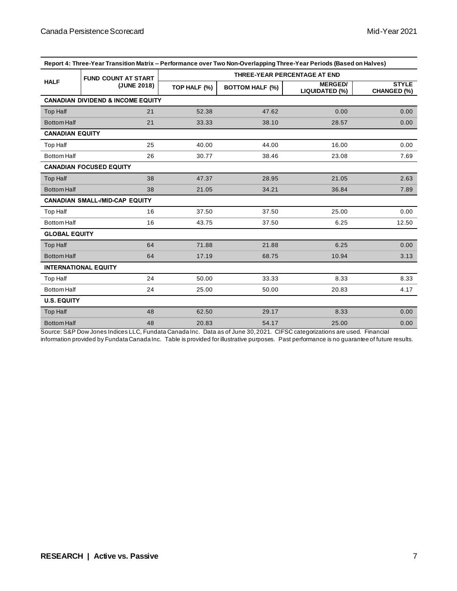| Report 4: Three-Year Transition Matrix – Performance over Two Non-Overlapping Three-Year Periods (Based on Halves) |                                              |                                     |                        |                                  |                                    |  |  |
|--------------------------------------------------------------------------------------------------------------------|----------------------------------------------|-------------------------------------|------------------------|----------------------------------|------------------------------------|--|--|
|                                                                                                                    | <b>FUND COUNT AT START</b>                   | <b>THREE-YEAR PERCENTAGE AT END</b> |                        |                                  |                                    |  |  |
| <b>HALF</b>                                                                                                        | (JUNE 2018)                                  | TOP HALF (%)                        | <b>BOTTOM HALF (%)</b> | <b>MERGED/</b><br>LIQUIDATED (%) | <b>STYLE</b><br><b>CHANGED (%)</b> |  |  |
|                                                                                                                    | <b>CANADIAN DIVIDEND &amp; INCOME EQUITY</b> |                                     |                        |                                  |                                    |  |  |
| <b>Top Half</b>                                                                                                    | 21                                           | 52.38                               | 47.62                  | 0.00                             | 0.00                               |  |  |
| <b>Bottom Half</b>                                                                                                 | 21                                           | 33.33                               | 38.10                  | 28.57                            | 0.00                               |  |  |
| <b>CANADIAN EQUITY</b>                                                                                             |                                              |                                     |                        |                                  |                                    |  |  |
| Top Half                                                                                                           | 25                                           | 40.00                               | 44.00                  | 16.00                            | 0.00                               |  |  |
| <b>Bottom Half</b>                                                                                                 | 26                                           | 30.77                               | 38.46                  | 23.08                            | 7.69                               |  |  |
|                                                                                                                    | <b>CANADIAN FOCUSED EQUITY</b>               |                                     |                        |                                  |                                    |  |  |
| <b>Top Half</b>                                                                                                    | 38                                           | 47.37                               | 28.95                  | 21.05                            | 2.63                               |  |  |
| <b>Bottom Half</b>                                                                                                 | 38                                           | 21.05                               | 34.21                  | 36.84                            | 7.89                               |  |  |
|                                                                                                                    | <b>CANADIAN SMALL-/MID-CAP EQUITY</b>        |                                     |                        |                                  |                                    |  |  |
| Top Half                                                                                                           | 16                                           | 37.50                               | 37.50                  | 25.00                            | 0.00                               |  |  |
| <b>Bottom Half</b>                                                                                                 | 16                                           | 43.75                               | 37.50                  | 6.25                             | 12.50                              |  |  |
| <b>GLOBAL EQUITY</b>                                                                                               |                                              |                                     |                        |                                  |                                    |  |  |
| <b>Top Half</b>                                                                                                    | 64                                           | 71.88                               | 21.88                  | 6.25                             | 0.00                               |  |  |
| <b>Bottom Half</b>                                                                                                 | 64                                           | 17.19                               | 68.75                  | 10.94                            | 3.13                               |  |  |
|                                                                                                                    | <b>INTERNATIONAL EQUITY</b>                  |                                     |                        |                                  |                                    |  |  |
| Top Half                                                                                                           | 24                                           | 50.00                               | 33.33                  | 8.33                             | 8.33                               |  |  |
| <b>Bottom Half</b>                                                                                                 | 24                                           | 25.00                               | 50.00                  | 20.83                            | 4.17                               |  |  |
| <b>U.S. EQUITY</b>                                                                                                 |                                              |                                     |                        |                                  |                                    |  |  |
| <b>Top Half</b>                                                                                                    | 48                                           | 62.50                               | 29.17                  | 8.33                             | 0.00                               |  |  |
| <b>Bottom Half</b>                                                                                                 | 48                                           | 20.83                               | 54.17                  | 25.00                            | 0.00                               |  |  |

**Report 4: Three-Year Transition Matrix – Performance over Two Non-Overlapping Three-Year Periods (Based on Halves)**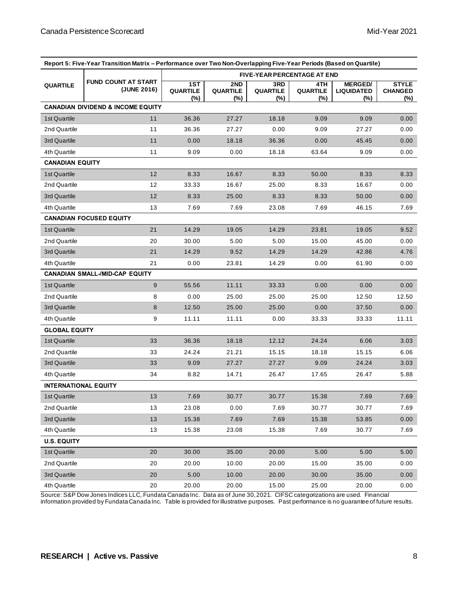| Report 5: Five-Year Transition Matrix - Performance over Two Non-Overlapping Five-Year Periods (Based on Quartile) |                                              |                                    |                               |                               |                               |                                            |                                       |
|--------------------------------------------------------------------------------------------------------------------|----------------------------------------------|------------------------------------|-------------------------------|-------------------------------|-------------------------------|--------------------------------------------|---------------------------------------|
|                                                                                                                    |                                              | <b>FIVE-YEAR PERCENTAGE AT END</b> |                               |                               |                               |                                            |                                       |
| <b>QUARTILE</b>                                                                                                    | <b>FUND COUNT AT START</b><br>(JUNE 2016)    | 1ST<br>QUARTILE<br>(%)             | 2ND<br><b>QUARTILE</b><br>(%) | 3RD<br><b>QUARTILE</b><br>(%) | 4TH<br><b>QUARTILE</b><br>(%) | <b>MERGED/</b><br><b>LIQUIDATED</b><br>(%) | <b>STYLE</b><br><b>CHANGED</b><br>(%) |
|                                                                                                                    | <b>CANADIAN DIVIDEND &amp; INCOME EQUITY</b> |                                    |                               |                               |                               |                                            |                                       |
| 1st Quartile                                                                                                       | 11                                           | 36.36                              | 27.27                         | 18.18                         | 9.09                          | 9.09                                       | 0.00                                  |
| 2nd Quartile                                                                                                       | 11                                           | 36.36                              | 27.27                         | 0.00                          | 9.09                          | 27.27                                      | 0.00                                  |
| 3rd Quartile                                                                                                       | 11                                           | 0.00                               | 18.18                         | 36.36                         | 0.00                          | 45.45                                      | 0.00                                  |
| 4th Quartile                                                                                                       | 11                                           | 9.09                               | 0.00                          | 18.18                         | 63.64                         | 9.09                                       | 0.00                                  |
| <b>CANADIAN EQUITY</b>                                                                                             |                                              |                                    |                               |                               |                               |                                            |                                       |
| 1st Quartile                                                                                                       | 12                                           | 8.33                               | 16.67                         | 8.33                          | 50.00                         | 8.33                                       | 8.33                                  |
| 2nd Quartile                                                                                                       | 12                                           | 33.33                              | 16.67                         | 25.00                         | 8.33                          | 16.67                                      | 0.00                                  |
| 3rd Quartile                                                                                                       | 12                                           | 8.33                               | 25.00                         | 8.33                          | 8.33                          | 50.00                                      | 0.00                                  |
| 4th Quartile                                                                                                       | 13                                           | 7.69                               | 7.69                          | 23.08                         | 7.69                          | 46.15                                      | 7.69                                  |
|                                                                                                                    | <b>CANADIAN FOCUSED EQUITY</b>               |                                    |                               |                               |                               |                                            |                                       |
| 1st Quartile                                                                                                       | 21                                           | 14.29                              | 19.05                         | 14.29                         | 23.81                         | 19.05                                      | 9.52                                  |
| 2nd Quartile                                                                                                       | 20                                           | 30.00                              | 5.00                          | 5.00                          | 15.00                         | 45.00                                      | 0.00                                  |
| 3rd Quartile                                                                                                       | 21                                           | 14.29                              | 9.52                          | 14.29                         | 14.29                         | 42.86                                      | 4.76                                  |
| 4th Quartile                                                                                                       | 21                                           | 0.00                               | 23.81                         | 14.29                         | 0.00                          | 61.90                                      | 0.00                                  |
|                                                                                                                    | <b>CANADIAN SMALL-/MID-CAP EQUITY</b>        |                                    |                               |                               |                               |                                            |                                       |
| 1st Quartile                                                                                                       | $\boldsymbol{9}$                             | 55.56                              | 11.11                         | 33.33                         | 0.00                          | 0.00                                       | 0.00                                  |
| 2nd Quartile                                                                                                       | 8                                            | 0.00                               | 25.00                         | 25.00                         | 25.00                         | 12.50                                      | 12.50                                 |
| 3rd Quartile                                                                                                       | 8                                            | 12.50                              | 25.00                         | 25.00                         | 0.00                          | 37.50                                      | 0.00                                  |
| 4th Quartile                                                                                                       | 9                                            | 11.11                              | 11.11                         | 0.00                          | 33.33                         | 33.33                                      | 11.11                                 |
| <b>GLOBAL EQUITY</b>                                                                                               |                                              |                                    |                               |                               |                               |                                            |                                       |
| 1st Quartile                                                                                                       | 33                                           | 36.36                              | 18.18                         | 12.12                         | 24.24                         | 6.06                                       | 3.03                                  |
| 2nd Quartile                                                                                                       | 33                                           | 24.24                              | 21.21                         | 15.15                         | 18.18                         | 15.15                                      | 6.06                                  |
| 3rd Quartile                                                                                                       | 33                                           | 9.09                               | 27.27                         | 27.27                         | 9.09                          | 24.24                                      | 3.03                                  |
| 4th Quartile                                                                                                       | 34                                           | 8.82                               | 14.71                         | 26.47                         | 17.65                         | 26.47                                      | 5.88                                  |
| <b>INTERNATIONAL EQUITY</b>                                                                                        |                                              |                                    |                               |                               |                               |                                            |                                       |
| 1st Quartile                                                                                                       | 13                                           | 7.69                               | 30.77                         | 30.77                         | 15.38                         | 7.69                                       | 7.69                                  |
| 2nd Quartile                                                                                                       | 13                                           | 23.08                              | 0.00                          | 7.69                          | 30.77                         | 30.77                                      | 7.69                                  |
| 3rd Quartile                                                                                                       | 13                                           | 15.38                              | 7.69                          | 7.69                          | 15.38                         | 53.85                                      | 0.00                                  |
| 4th Quartile                                                                                                       | 13                                           | 15.38                              | 23.08                         | 15.38                         | 7.69                          | 30.77                                      | 7.69                                  |
| <b>U.S. EQUITY</b>                                                                                                 |                                              |                                    |                               |                               |                               |                                            |                                       |
| 1st Quartile                                                                                                       | 20                                           | 30.00                              | 35.00                         | 20.00                         | 5.00                          | 5.00                                       | 5.00                                  |
| 2nd Quartile                                                                                                       | 20                                           | 20.00                              | 10.00                         | 20.00                         | 15.00                         | 35.00                                      | 0.00                                  |
| 3rd Quartile                                                                                                       | 20                                           | 5.00                               | 10.00                         | 20.00                         | 30.00                         | 35.00                                      | 0.00                                  |
| 4th Quartile                                                                                                       | $20\,$                                       | 20.00                              | 20.00                         | 15.00                         | 25.00                         | 20.00                                      | 0.00                                  |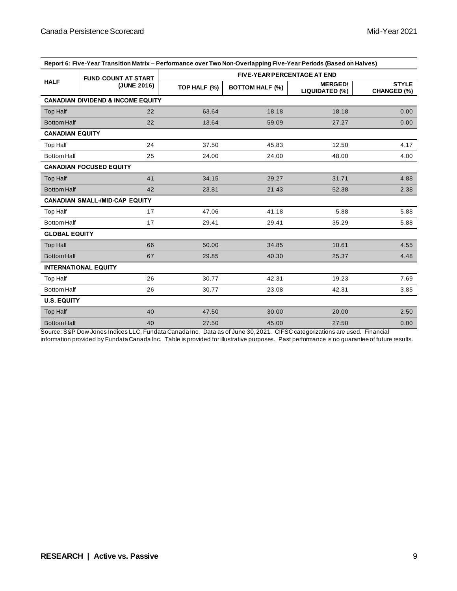| Report 6: Five-Year Transition Matrix - Performance over Two Non-Overlapping Five-Year Periods (Based on Halves) |                                              |                                    |                        |                                  |                                    |  |  |
|------------------------------------------------------------------------------------------------------------------|----------------------------------------------|------------------------------------|------------------------|----------------------------------|------------------------------------|--|--|
|                                                                                                                  | <b>FUND COUNT AT START</b>                   | <b>FIVE-YEAR PERCENTAGE AT END</b> |                        |                                  |                                    |  |  |
| <b>HALF</b>                                                                                                      | (JUNE 2016)                                  | TOP HALF (%)                       | <b>BOTTOM HALF (%)</b> | <b>MERGED/</b><br>LIQUIDATED (%) | <b>STYLE</b><br><b>CHANGED (%)</b> |  |  |
|                                                                                                                  | <b>CANADIAN DIVIDEND &amp; INCOME EQUITY</b> |                                    |                        |                                  |                                    |  |  |
| <b>Top Half</b>                                                                                                  | 22                                           | 63.64                              | 18.18                  | 18.18                            | 0.00                               |  |  |
| <b>Bottom Half</b>                                                                                               | 22                                           | 13.64                              | 59.09                  | 27.27                            | 0.00                               |  |  |
| <b>CANADIAN EQUITY</b>                                                                                           |                                              |                                    |                        |                                  |                                    |  |  |
| <b>Top Half</b>                                                                                                  | 24                                           | 37.50                              | 45.83                  | 12.50                            | 4.17                               |  |  |
| <b>Bottom Half</b>                                                                                               | 25                                           | 24.00                              | 24.00                  | 48.00                            | 4.00                               |  |  |
|                                                                                                                  | <b>CANADIAN FOCUSED EQUITY</b>               |                                    |                        |                                  |                                    |  |  |
| <b>Top Half</b>                                                                                                  | 41                                           | 34.15                              | 29.27                  | 31.71                            | 4.88                               |  |  |
| <b>Bottom Half</b>                                                                                               | 42                                           | 23.81                              | 21.43                  | 52.38                            | 2.38                               |  |  |
|                                                                                                                  | <b>CANADIAN SMALL-/MID-CAP EQUITY</b>        |                                    |                        |                                  |                                    |  |  |
| Top Half                                                                                                         | 17                                           | 47.06                              | 41.18                  | 5.88                             | 5.88                               |  |  |
| <b>Bottom Half</b>                                                                                               | 17                                           | 29.41                              | 29.41                  | 35.29                            | 5.88                               |  |  |
| <b>GLOBAL EQUITY</b>                                                                                             |                                              |                                    |                        |                                  |                                    |  |  |
| <b>Top Half</b>                                                                                                  | 66                                           | 50.00                              | 34.85                  | 10.61                            | 4.55                               |  |  |
| <b>Bottom Half</b>                                                                                               | 67                                           | 29.85                              | 40.30                  | 25.37                            | 4.48                               |  |  |
|                                                                                                                  | <b>INTERNATIONAL EQUITY</b>                  |                                    |                        |                                  |                                    |  |  |
| <b>Top Half</b>                                                                                                  | 26                                           | 30.77                              | 42.31                  | 19.23                            | 7.69                               |  |  |
| <b>Bottom Half</b>                                                                                               | 26                                           | 30.77                              | 23.08                  | 42.31                            | 3.85                               |  |  |
| <b>U.S. EQUITY</b>                                                                                               |                                              |                                    |                        |                                  |                                    |  |  |
| <b>Top Half</b>                                                                                                  | 40                                           | 47.50                              | 30.00                  | 20.00                            | 2.50                               |  |  |
| <b>Bottom Half</b>                                                                                               | 40                                           | 27.50                              | 45.00                  | 27.50                            | 0.00                               |  |  |